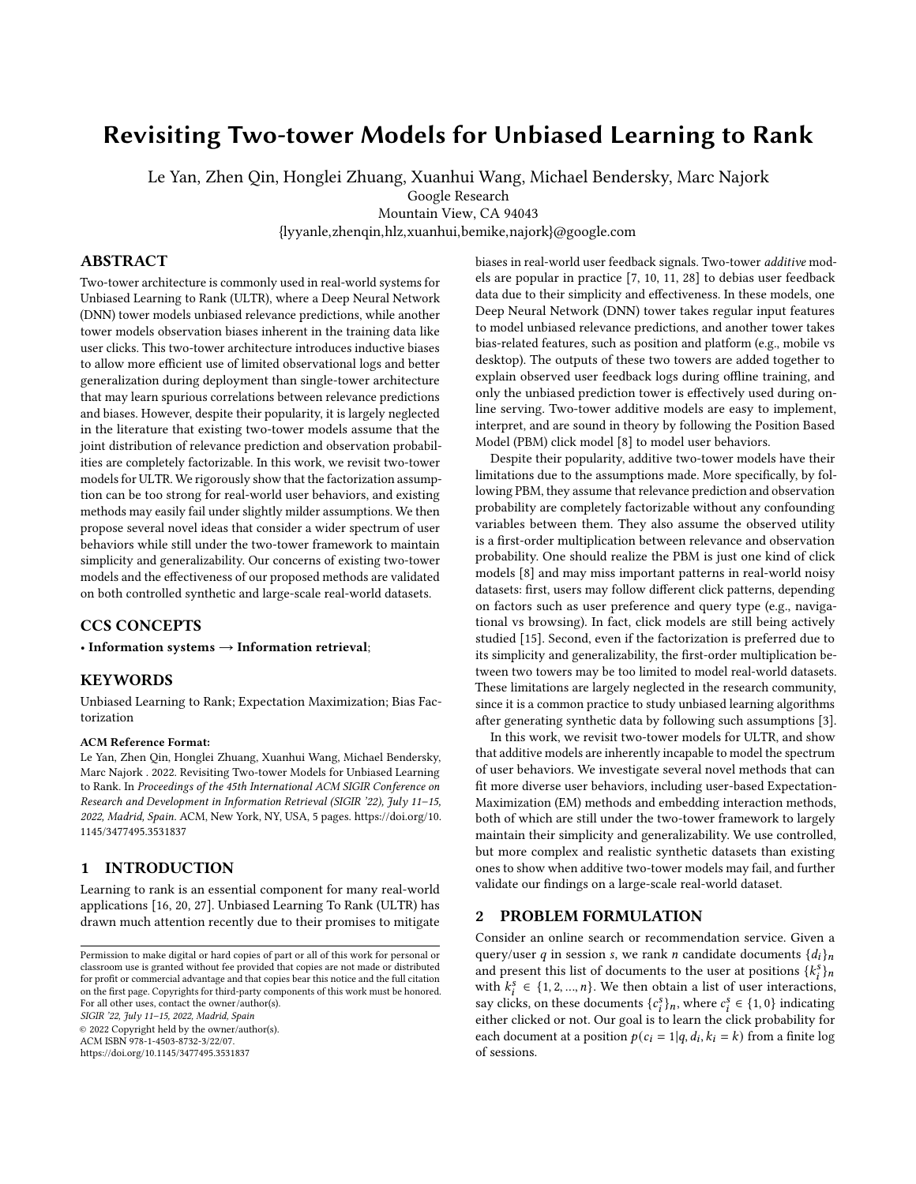# Revisiting Two-tower Models for Unbiased Learning to Rank

Le Yan, Zhen Qin, Honglei Zhuang, Xuanhui Wang, Michael Bendersky, Marc Najork

Google Research

Mountain View, CA 94043 {lyyanle,zhenqin,hlz,xuanhui,bemike,najork}@google.com

# ABSTRACT

Two-tower architecture is commonly used in real-world systems for Unbiased Learning to Rank (ULTR), where a Deep Neural Network (DNN) tower models unbiased relevance predictions, while another tower models observation biases inherent in the training data like user clicks. This two-tower architecture introduces inductive biases to allow more efficient use of limited observational logs and better generalization during deployment than single-tower architecture that may learn spurious correlations between relevance predictions and biases. However, despite their popularity, it is largely neglected in the literature that existing two-tower models assume that the joint distribution of relevance prediction and observation probabilities are completely factorizable. In this work, we revisit two-tower models for ULTR. We rigorously show that the factorization assumption can be too strong for real-world user behaviors, and existing methods may easily fail under slightly milder assumptions. We then propose several novel ideas that consider a wider spectrum of user behaviors while still under the two-tower framework to maintain simplicity and generalizability. Our concerns of existing two-tower models and the effectiveness of our proposed methods are validated on both controlled synthetic and large-scale real-world datasets.

# CCS CONCEPTS

• Information systems  $\rightarrow$  Information retrieval;

# **KEYWORDS**

Unbiased Learning to Rank; Expectation Maximization; Bias Factorization

#### ACM Reference Format:

Le Yan, Zhen Qin, Honglei Zhuang, Xuanhui Wang, Michael Bendersky, Marc Najork . 2022. Revisiting Two-tower Models for Unbiased Learning to Rank. In Proceedings of the 45th International ACM SIGIR Conference on Research and Development in Information Retrieval (SIGIR '22), July 11–15, 2022, Madrid, Spain. ACM, New York, NY, USA, [5](#page-4-0) pages. [https://doi.org/10.](https://doi.org/10.1145/3477495.3531837) [1145/3477495.3531837](https://doi.org/10.1145/3477495.3531837)

## 1 INTRODUCTION

Learning to rank is an essential component for many real-world applications [\[16,](#page-4-1) [20,](#page-4-2) [27\]](#page-4-3). Unbiased Learning To Rank (ULTR) has drawn much attention recently due to their promises to mitigate

© 2022 Copyright held by the owner/author(s). ACM ISBN 978-1-4503-8732-3/22/07. <https://doi.org/10.1145/3477495.3531837>

biases in real-world user feedback signals. Two-tower additive models are popular in practice [\[7,](#page-4-4) [10,](#page-4-5) [11,](#page-4-6) [28\]](#page-4-7) to debias user feedback data due to their simplicity and effectiveness. In these models, one Deep Neural Network (DNN) tower takes regular input features to model unbiased relevance predictions, and another tower takes bias-related features, such as position and platform (e.g., mobile vs desktop). The outputs of these two towers are added together to explain observed user feedback logs during offline training, and only the unbiased prediction tower is effectively used during online serving. Two-tower additive models are easy to implement, interpret, and are sound in theory by following the Position Based Model (PBM) click model [\[8\]](#page-4-8) to model user behaviors.

Despite their popularity, additive two-tower models have their limitations due to the assumptions made. More specifically, by following PBM, they assume that relevance prediction and observation probability are completely factorizable without any confounding variables between them. They also assume the observed utility is a first-order multiplication between relevance and observation probability. One should realize the PBM is just one kind of click models [\[8\]](#page-4-8) and may miss important patterns in real-world noisy datasets: first, users may follow different click patterns, depending on factors such as user preference and query type (e.g., navigational vs browsing). In fact, click models are still being actively studied [\[15\]](#page-4-9). Second, even if the factorization is preferred due to its simplicity and generalizability, the first-order multiplication between two towers may be too limited to model real-world datasets. These limitations are largely neglected in the research community, since it is a common practice to study unbiased learning algorithms after generating synthetic data by following such assumptions [\[3\]](#page-4-10).

In this work, we revisit two-tower models for ULTR, and show that additive models are inherently incapable to model the spectrum of user behaviors. We investigate several novel methods that can fit more diverse user behaviors, including user-based Expectation-Maximization (EM) methods and embedding interaction methods, both of which are still under the two-tower framework to largely maintain their simplicity and generalizability. We use controlled, but more complex and realistic synthetic datasets than existing ones to show when additive two-tower models may fail, and further validate our findings on a large-scale real-world dataset.

# 2 PROBLEM FORMULATION

Consider an online search or recommendation service. Given a query/user q in session s, we rank *n* candidate documents  $\{d_i\}_n$ and present this list of documents to the user at positions  ${k_i^s}_i$ with  $k_i^s \in \{1, 2, ..., n\}$ . We then obtain a list of user interactions, say clicks, on these documents  $\{c_i^s\}_n$ , where  $c_i^s \in \{1, 0\}$  indicating either clicked or not. Our goal is to learn the click probability for each document at a position  $p(c_i = 1|q, d_i, k_i = k)$  from a finite log of sessions.

Permission to make digital or hard copies of part or all of this work for personal or classroom use is granted without fee provided that copies are not made or distributed for profit or commercial advantage and that copies bear this notice and the full citation on the first page. Copyrights for third-party components of this work must be honored. For all other uses, contact the owner/author(s). SIGIR '22, July 11–15, 2022, Madrid, Spain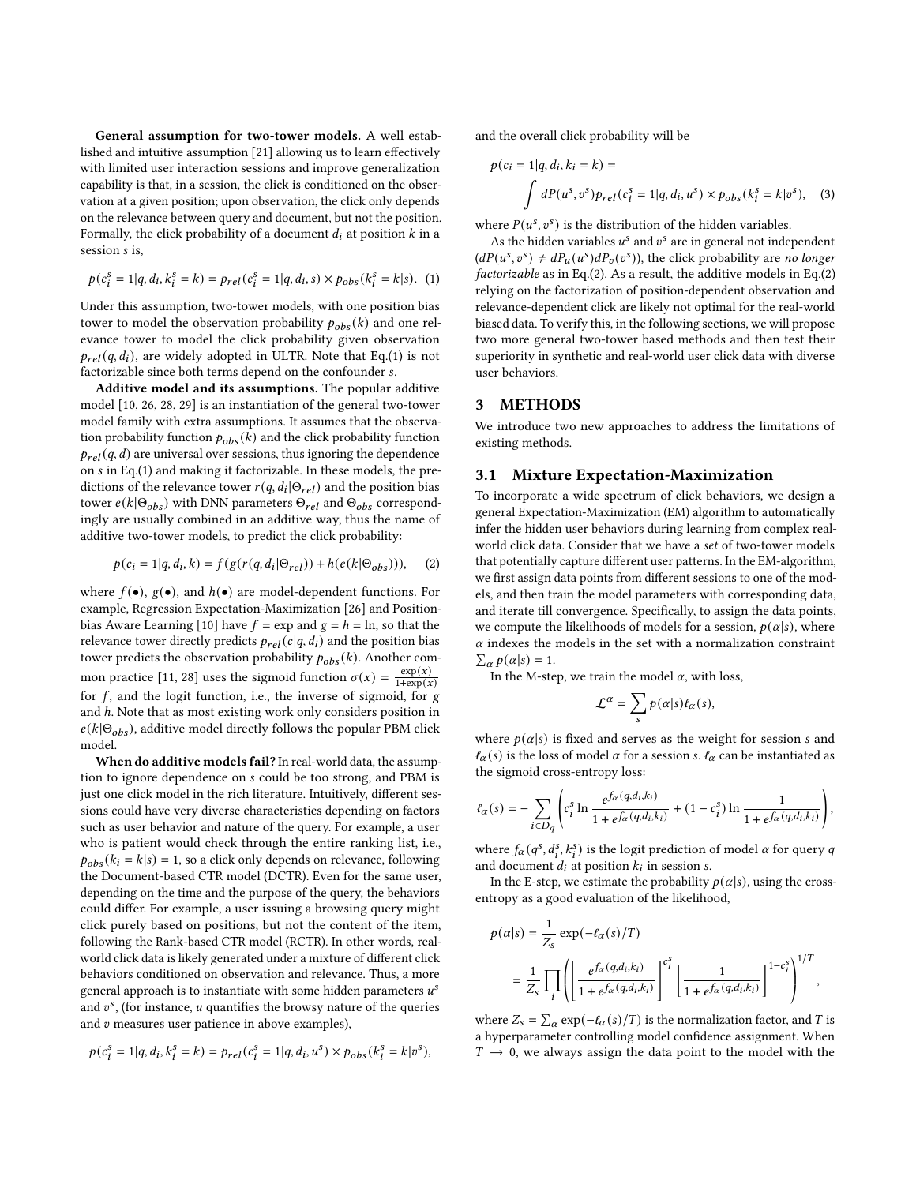General assumption for two-tower models. A well established and intuitive assumption [\[21\]](#page-4-11) allowing us to learn effectively with limited user interaction sessions and improve generalization capability is that, in a session, the click is conditioned on the observation at a given position; upon observation, the click only depends on the relevance between query and document, but not the position. Formally, the click probability of a document  $d_i$  at position  $k$  in a session *s* is.

<span id="page-1-0"></span>
$$
p(c_i^s = 1|q, d_i, k_i^s = k) = p_{rel}(c_i^s = 1|q, d_i, s) \times p_{obs}(k_i^s = k|s). \tag{1}
$$

Under this assumption, two-tower models, with one position bias tower to model the observation probability  $p_{obs}(k)$  and one relevance tower to model the click probability given observation  $p_{rel}(q, d_i)$ , are widely adopted in ULTR. Note that Eq.[\(1\)](#page-1-0) is not factorizable since both terms depend on the confounder s.

Additive model and its assumptions. The popular additive model [\[10,](#page-4-5) [26,](#page-4-12) [28,](#page-4-7) [29\]](#page-4-13) is an instantiation of the general two-tower model family with extra assumptions. It assumes that the observation probability function  $p_{obs}(k)$  and the click probability function  $p_{rel}(q, d)$  are universal over sessions, thus ignoring the dependence on  $s$  in Eq.[\(1\)](#page-1-0) and making it factorizable. In these models, the predictions of the relevance tower  $r(q, d_i | \Theta_{rel})$  and the position bias tower  $e(k|\Theta_{obs})$  with DNN parameters  $\Theta_{rel}$  and  $\Theta_{obs}$  correspondingly are usually combined in an additive way, thus the name of additive two-tower models, to predict the click probability:

<span id="page-1-1"></span>
$$
p(c_i = 1|q, d_i, k) = f(g(r(q, d_i | \Theta_{rel})) + h(e(k | \Theta_{obs}))), (2)
$$

where  $f(\bullet)$ ,  $g(\bullet)$ , and  $h(\bullet)$  are model-dependent functions. For example, Regression Expectation-Maximization [\[26\]](#page-4-12) and Position-bias Aware Learning [\[10\]](#page-4-5) have  $f = \exp$  and  $g = h = \ln$ , so that the relevance tower directly predicts  $p_{rel}(c|q, d_i)$  and the position bias tower predicts the observation probability  $p_{obs}(k)$ . Another com-mon practice [\[11,](#page-4-6) [28\]](#page-4-7) uses the sigmoid function  $\sigma(x) = \frac{\exp(x)}{1 + \exp(x)}$  $\overline{1 + \exp(x)}$ for  $f$ , and the logit function, i.e., the inverse of sigmoid, for  $g$ and  $h$ . Note that as most existing work only considers position in  $e(k|\Theta_{obs})$ , additive model directly follows the popular PBM click model.

When do additive models fail? In real-world data, the assumption to ignore dependence on s could be too strong, and PBM is just one click model in the rich literature. Intuitively, different sessions could have very diverse characteristics depending on factors such as user behavior and nature of the query. For example, a user who is patient would check through the entire ranking list, i.e.,  $p_{obs}(k_i = k | s) = 1$ , so a click only depends on relevance, following the Document-based CTR model (DCTR). Even for the same user, depending on the time and the purpose of the query, the behaviors could differ. For example, a user issuing a browsing query might click purely based on positions, but not the content of the item, following the Rank-based CTR model (RCTR). In other words, realworld click data is likely generated under a mixture of different click behaviors conditioned on observation and relevance. Thus, a more general approach is to instantiate with some hidden parameters  $u^s$ and  $v^s$ , (for instance,  $u$  quantifies the browsy nature of the queries and  $v$  measures user patience in above examples),

$$
p(c_i^s = 1|q, d_i, k_i^s = k) = p_{rel}(c_i^s = 1|q, d_i, u^s) \times p_{obs}(k_i^s = k|v^s),
$$

and the overall click probability will be

$$
p(c_i = 1|q, d_i, k_i = k) =
$$
  

$$
\int dP(u^s, v^s) p_{rel}(c_i^s = 1|q, d_i, u^s) \times p_{obs}(k_i^s = k|v^s),
$$
 (3)

where  $P(u^s, v^s)$  is the distribution of the hidden variables.

As the hidden variables  $u^s$  and  $v^s$  are in general not independent  $(dP(u^s, v^s) \neq dP_u(u^s) dP_v(v^s))$ , the click probability are no longer factorizable as in Eq.[\(2\)](#page-1-1). As a result, the additive models in Eq.[\(2\)](#page-1-1) relying on the factorization of position-dependent observation and relevance-dependent click are likely not optimal for the real-world biased data. To verify this, in the following sections, we will propose two more general two-tower based methods and then test their superiority in synthetic and real-world user click data with diverse user behaviors.

#### <span id="page-1-3"></span>3 METHODS

We introduce two new approaches to address the limitations of existing methods.

## 3.1 Mixture Expectation-Maximization

To incorporate a wide spectrum of click behaviors, we design a general Expectation-Maximization (EM) algorithm to automatically infer the hidden user behaviors during learning from complex realworld click data. Consider that we have a set of two-tower models that potentially capture different user patterns. In the EM-algorithm, we first assign data points from different sessions to one of the models, and then train the model parameters with corresponding data, and iterate till convergence. Specifically, to assign the data points, we compute the likelihoods of models for a session,  $p(\alpha|s)$ , where  $\alpha$  indexes the models in the set with a normalization constraint  $\sum_{\alpha} p(\alpha|s) = 1.$ 

In the M-step, we train the model  $\alpha$ , with loss,

<span id="page-1-2"></span>
$$
\mathcal{L}^{\alpha} = \sum_{s} p(\alpha|s) \ell_{\alpha}(s),
$$

where  $p(\alpha|s)$  is fixed and serves as the weight for session *s* and  $\ell_{\alpha}(s)$  is the loss of model  $\alpha$  for a session s.  $\ell_{\alpha}$  can be instantiated as the sigmoid cross-entropy loss:

$$
\ell_{\alpha}(s) = -\sum_{i \in D_q} \left( c_i^s \ln \frac{e^{f_{\alpha}(q, d_i, k_i)}}{1 + e^{f_{\alpha}(q, d_i, k_i)}} + (1 - c_i^s) \ln \frac{1}{1 + e^{f_{\alpha}(q, d_i, k_i)}} \right),
$$

where  $f_{\alpha}(q^s, d_i^s, k_i^s)$  is the logit prediction of model  $\alpha$  for query  $q$ and document  $d_i$  at position  $k_i$  in session s.

In the E-step, we estimate the probability  $p(\alpha|s)$ , using the crossentropy as a good evaluation of the likelihood,

$$
\begin{split} p(\alpha|s) &= \frac{1}{Z_s} \exp(-\ell_{\alpha}(s)/T) \\ &= \frac{1}{Z_s} \prod_i \left( \left[ \frac{e^{f_{\alpha}(q,d_i,k_i)}}{1+e^{f_{\alpha}(q,d_i,k_i)}} \right]^{c_i^s} \left[ \frac{1}{1+e^{f_{\alpha}(q,d_i,k_i)}} \right]^{1-c_i^s} \right)^{1/T}, \end{split}
$$

where  $Z_s = \sum_{\alpha} \exp(-\ell_{\alpha}(s)/T)$  is the normalization factor, and T is a hyperparameter controlling model confidence assignment. When  $T \rightarrow 0$ , we always assign the data point to the model with the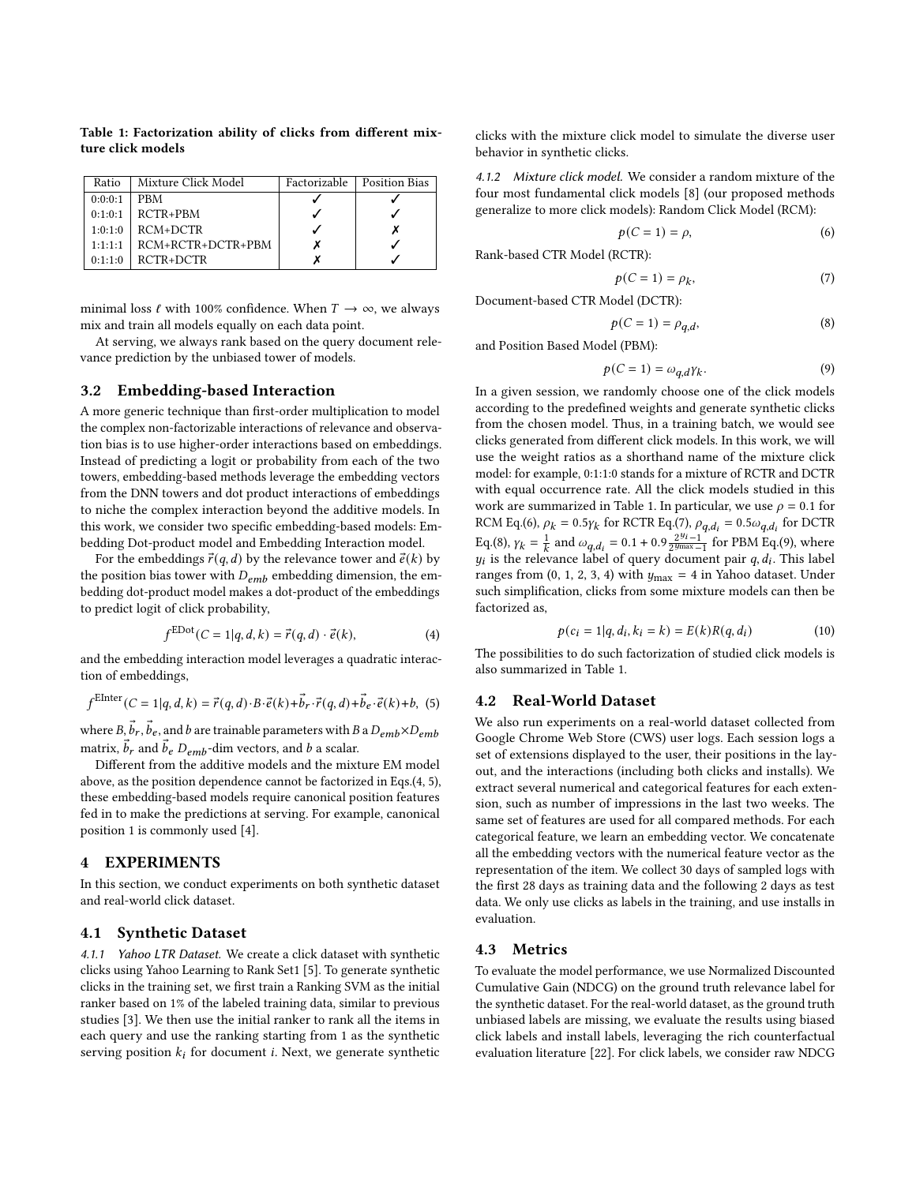| Ratio   | Mixture Click Model | Factorizable   Position Bias |
|---------|---------------------|------------------------------|
| 0:0:0:1 | PBM                 |                              |
| 0:1:0:1 | $RCTR+PBM$          |                              |
| 1:0:1:0 | RCM+DCTR            |                              |
| 1:1:1:1 | $RCM+RCTR+DCTR+PBM$ |                              |
| 0:1:1:0 | RCTR+DCTR           |                              |

<span id="page-2-1"></span>Table 1: Factorization ability of clicks from different mixture click models

minimal loss  $\ell$  with 100% confidence. When  $T \to \infty$ , we always mix and train all models equally on each data point.

At serving, we always rank based on the query document relevance prediction by the unbiased tower of models.

## 3.2 Embedding-based Interaction

A more generic technique than first-order multiplication to model the complex non-factorizable interactions of relevance and observation bias is to use higher-order interactions based on embeddings. Instead of predicting a logit or probability from each of the two towers, embedding-based methods leverage the embedding vectors from the DNN towers and dot product interactions of embeddings to niche the complex interaction beyond the additive models. In this work, we consider two specific embedding-based models: Embedding Dot-product model and Embedding Interaction model.

For the embeddings  $\vec{r}(q, d)$  by the relevance tower and  $\vec{e}(k)$  by the position bias tower with  $D_{emb}$  embedding dimension, the embedding dot-product model makes a dot-product of the embeddings to predict logit of click probability,

$$
f^{\text{EDot}}(C=1|q,d,k) = \vec{r}(q,d) \cdot \vec{e}(k), \tag{4}
$$

and the embedding interaction model leverages a quadratic interaction of embeddings,

<span id="page-2-0"></span>
$$
f^{\text{EInter}}(C=1|q,d,k)=\vec{r}(q,d)\cdot B\cdot \vec{e}(k)+\vec{b}_r\cdot \vec{r}(q,d)+\vec{b}_e\cdot \vec{e}(k)+b, (5)
$$

where  $B$ ,  $\vec{b}_r$ ,  $\vec{b}_e$ , and  $b$  are trainable parameters with  $B$  a  $D_{emb} \times D_{emb}$ matrix,  $\vec{b}_r$  and  $\vec{b}_e$   $D_{emb}$ -dim vectors, and  $b$  a scalar.

Different from the additive models and the mixture EM model above, as the position dependence cannot be factorized in Eqs.[\(4,](#page-1-2) [5\)](#page-2-0), these embedding-based models require canonical position features fed in to make the predictions at serving. For example, canonical position 1 is commonly used [\[4\]](#page-4-14).

# 4 EXPERIMENTS

In this section, we conduct experiments on both synthetic dataset and real-world click dataset.

# 4.1 Synthetic Dataset

4.1.1 Yahoo LTR Dataset. We create a click dataset with synthetic clicks using Yahoo Learning to Rank Set1 [\[5\]](#page-4-15). To generate synthetic clicks in the training set, we first train a Ranking SVM as the initial ranker based on 1% of the labeled training data, similar to previous studies [\[3\]](#page-4-10). We then use the initial ranker to rank all the items in each query and use the ranking starting from 1 as the synthetic serving position  $k_i$  for document *i*. Next, we generate synthetic

clicks with the mixture click model to simulate the diverse user behavior in synthetic clicks.

4.1.2 Mixture click model. We consider a random mixture of the four most fundamental click models [\[8\]](#page-4-8) (our proposed methods generalize to more click models): Random Click Model (RCM):

<span id="page-2-2"></span>
$$
p(C=1) = \rho,\tag{6}
$$

Rank-based CTR Model (RCTR):

<span id="page-2-3"></span>
$$
p(C=1) = \rho_k,\tag{7}
$$

Document-based CTR Model (DCTR):

<span id="page-2-4"></span>
$$
p(C=1) = \rho_{q,d},\tag{8}
$$

and Position Based Model (PBM):

<span id="page-2-5"></span>
$$
p(C=1) = \omega_{q,d} \gamma_k. \tag{9}
$$

In a given session, we randomly choose one of the click models according to the predefined weights and generate synthetic clicks from the chosen model. Thus, in a training batch, we would see clicks generated from different click models. In this work, we will use the weight ratios as a shorthand name of the mixture click model: for example, 0:1:1:0 stands for a mixture of RCTR and DCTR with equal occurrence rate. All the click models studied in this work are summarized in Table [1.](#page-2-1) In particular, we use  $\rho = 0.1$  for RCM Eq.[\(6\)](#page-2-2),  $\rho_k = 0.5 \gamma_k$  for RCTR Eq.[\(7\)](#page-2-3),  $\rho_{q,d_i} = 0.5 \omega_{q,d_i}$  for DCTR Eq.[\(8\)](#page-2-4),  $\gamma_k = \frac{1}{k}$  and  $\omega_{q,d_i} = 0.1 + 0.9 \frac{2^{y_i} - 1}{2^{y_{\text{max}}} - 1}$  for PBM Eq.[\(9\)](#page-2-5), where  $y_i$  is the relevance label of query document pair  $q, d_i$ . This label ranges from  $(0, 1, 2, 3, 4)$  with  $y_{\text{max}} = 4$  in Yahoo dataset. Under such simplification, clicks from some mixture models can then be factorized as,

<span id="page-2-6"></span>
$$
p(c_i = 1|q, d_i, k_i = k) = E(k)R(q, d_i)
$$
\n(10)

The possibilities to do such factorization of studied click models is also summarized in Table [1.](#page-2-1)

#### 4.2 Real-World Dataset

We also run experiments on a real-world dataset collected from Google Chrome Web Store (CWS) user logs. Each session logs a set of extensions displayed to the user, their positions in the layout, and the interactions (including both clicks and installs). We extract several numerical and categorical features for each extension, such as number of impressions in the last two weeks. The same set of features are used for all compared methods. For each categorical feature, we learn an embedding vector. We concatenate all the embedding vectors with the numerical feature vector as the representation of the item. We collect 30 days of sampled logs with the first 28 days as training data and the following 2 days as test data. We only use clicks as labels in the training, and use installs in evaluation.

#### 4.3 Metrics

To evaluate the model performance, we use Normalized Discounted Cumulative Gain (NDCG) on the ground truth relevance label for the synthetic dataset. For the real-world dataset, as the ground truth unbiased labels are missing, we evaluate the results using biased click labels and install labels, leveraging the rich counterfactual evaluation literature [\[22\]](#page-4-16). For click labels, we consider raw NDCG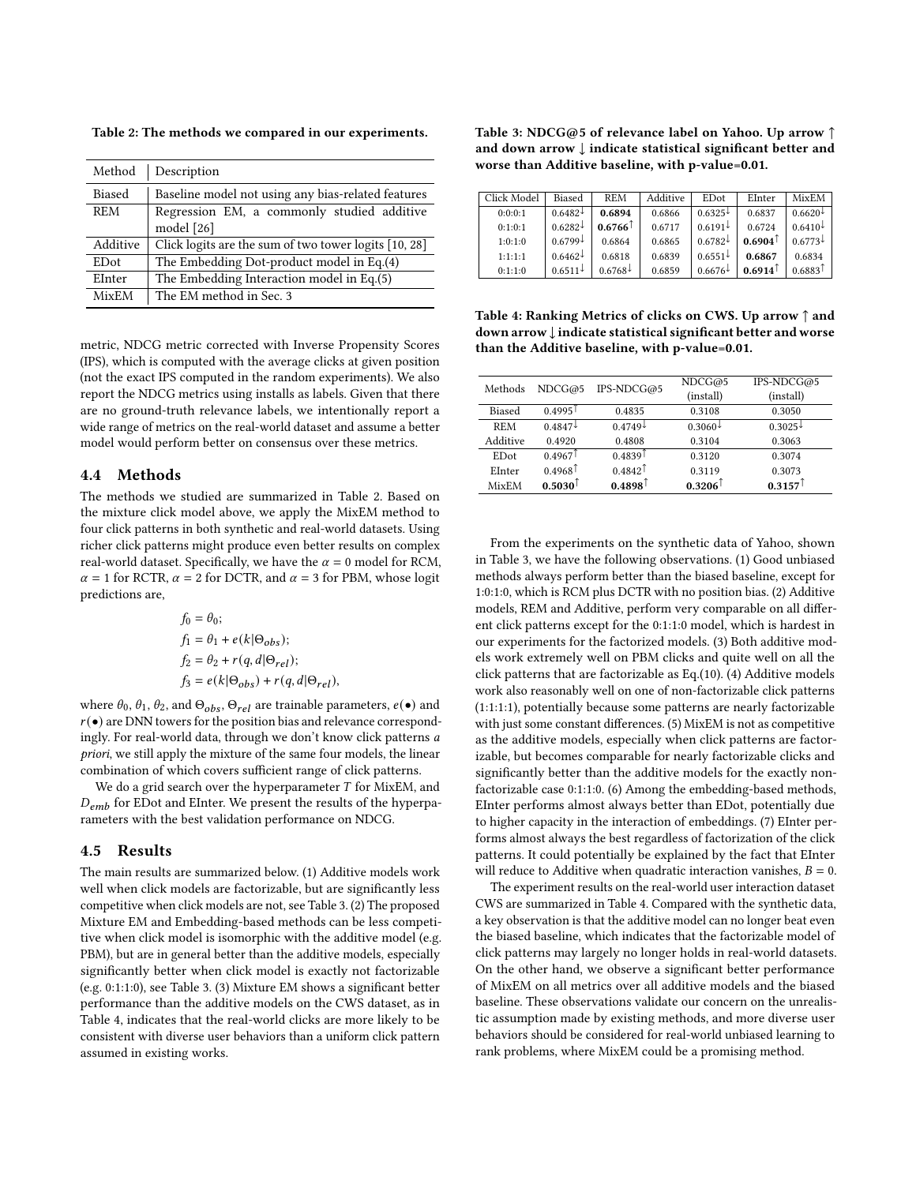<span id="page-3-0"></span>Table 2: The methods we compared in our experiments.

| Method        | Description                                           |  |  |
|---------------|-------------------------------------------------------|--|--|
| <b>Biased</b> | Baseline model not using any bias-related features    |  |  |
| <b>REM</b>    | Regression EM, a commonly studied additive            |  |  |
|               | model [26]                                            |  |  |
| Additive      | Click logits are the sum of two tower logits [10, 28] |  |  |
| <b>ED</b> ot  | The Embedding Dot-product model in Eq.(4)             |  |  |
| EInter        | The Embedding Interaction model in Eq.(5)             |  |  |
| <b>MixEM</b>  | The EM method in Sec. 3                               |  |  |

metric, NDCG metric corrected with Inverse Propensity Scores (IPS), which is computed with the average clicks at given position (not the exact IPS computed in the random experiments). We also report the NDCG metrics using installs as labels. Given that there are no ground-truth relevance labels, we intentionally report a wide range of metrics on the real-world dataset and assume a better model would perform better on consensus over these metrics.

#### 4.4 Methods

The methods we studied are summarized in Table [2.](#page-3-0) Based on the mixture click model above, we apply the MixEM method to four click patterns in both synthetic and real-world datasets. Using richer click patterns might produce even better results on complex real-world dataset. Specifically, we have the  $\alpha = 0$  model for RCM,  $\alpha = 1$  for RCTR,  $\alpha = 2$  for DCTR, and  $\alpha = 3$  for PBM, whose logit predictions are,

$$
f_0 = \theta_0;
$$
  
\n
$$
f_1 = \theta_1 + e(k|\Theta_{obs});
$$
  
\n
$$
f_2 = \theta_2 + r(q, d|\Theta_{rel});
$$
  
\n
$$
f_3 = e(k|\Theta_{obs}) + r(q, d|\Theta_{rel}),
$$

where  $\theta_0$ ,  $\theta_1$ ,  $\theta_2$ , and  $\Theta_{obs}$ ,  $\Theta_{rel}$  are trainable parameters,  $e(\bullet)$  and  $r(\bullet)$  are DNN towers for the position bias and relevance correspondingly. For real-world data, through we don't know click patterns a priori, we still apply the mixture of the same four models, the linear combination of which covers sufficient range of click patterns.

We do a grid search over the hyperparameter  $T$  for MixEM, and  $D_{emb}$  for EDot and EInter. We present the results of the hyperparameters with the best validation performance on NDCG.

#### 4.5 Results

The main results are summarized below. (1) Additive models work well when click models are factorizable, but are significantly less competitive when click models are not, see Table [3.](#page-3-1) (2) The proposed Mixture EM and Embedding-based methods can be less competitive when click model is isomorphic with the additive model (e.g. PBM), but are in general better than the additive models, especially significantly better when click model is exactly not factorizable (e.g. 0:1:1:0), see Table [3.](#page-3-1) (3) Mixture EM shows a significant better performance than the additive models on the CWS dataset, as in Table [4,](#page-3-2) indicates that the real-world clicks are more likely to be consistent with diverse user behaviors than a uniform click pattern assumed in existing works.

<span id="page-3-1"></span>Table 3: NDCG@5 of relevance label on Yahoo. Up arrow ↑ and down arrow ↓ indicate statistical significant better and worse than Additive baseline, with p-value=0.01.

| Click Model | Biased       | <b>REM</b>            | Additive | <b>ED</b> ot | EInter              | MixEM                 |
|-------------|--------------|-----------------------|----------|--------------|---------------------|-----------------------|
| 0:0:0:1     | $0.6482+$    | 0.6894                | 0.6866   | $0.6325\pm$  | 0.6837              | $0.6620\pm$           |
| 0:1:0:1     | $0.6282 \pm$ | $0.6766^{\degree}$    | 0.6717   | $0.6191\pm$  | 0.6724              | $0.6410\pm$           |
| 1:0:1:0     | $0.6799 \pm$ | 0.6864                | 0.6865   | $0.6782\pm$  | $0.6904^{\uparrow}$ | $0.6773\pm$           |
| 1:1:1:1     | $0.6462 \pm$ | 0.6818                | 0.6839   | $0.6551\pm$  | 0.6867              | 0.6834                |
| 0:1:1:0     | $0.6511 \pm$ | $0.6768^{\downarrow}$ | 0.6859   | $0.6676\pm$  | 0.6914              | $0.6883$ <sup>T</sup> |

<span id="page-3-2"></span>Table 4: Ranking Metrics of clicks on CWS. Up arrow ↑ and down arrow↓ indicate statistical significant better and worse than the Additive baseline, with p-value=0.01.

| Methods      | NDCG@5                | IPS-NDCG@5            | NDCG@5<br>(install)   | IPS-NDCG@5<br>(install) |
|--------------|-----------------------|-----------------------|-----------------------|-------------------------|
| Biased       | 0.4995                | 0.4835                | 0.3108                | 0.3050                  |
| <b>REM</b>   | $0.4847\pm$           | $0.4749\pm$           | $0.3060\pm$           | $0.3025\pm$             |
| Additive     | 0.4920                | 0.4808                | 0.3104                | 0.3063                  |
| <b>ED</b> ot | $0.4967$ <sup>1</sup> | $0.4839$ <sup>T</sup> | 0.3120                | 0.3074                  |
| EInter       | $0.4968$ <sup>T</sup> | $0.4842$ <sup>T</sup> | 0.3119                | 0.3073                  |
| MixEM        | $0.5030^{\circ}$      | $0.4898^{\uparrow}$   | $0.3206$ <sup>T</sup> | $0.3157$ <sup>T</sup>   |

From the experiments on the synthetic data of Yahoo, shown in Table [3,](#page-3-1) we have the following observations. (1) Good unbiased methods always perform better than the biased baseline, except for 1:0:1:0, which is RCM plus DCTR with no position bias. (2) Additive models, REM and Additive, perform very comparable on all different click patterns except for the 0:1:1:0 model, which is hardest in our experiments for the factorized models. (3) Both additive models work extremely well on PBM clicks and quite well on all the click patterns that are factorizable as Eq.[\(10\)](#page-2-6). (4) Additive models work also reasonably well on one of non-factorizable click patterns (1:1:1:1), potentially because some patterns are nearly factorizable with just some constant differences. (5) MixEM is not as competitive as the additive models, especially when click patterns are factorizable, but becomes comparable for nearly factorizable clicks and significantly better than the additive models for the exactly nonfactorizable case 0:1:1:0. (6) Among the embedding-based methods, EInter performs almost always better than EDot, potentially due to higher capacity in the interaction of embeddings. (7) EInter performs almost always the best regardless of factorization of the click patterns. It could potentially be explained by the fact that EInter will reduce to Additive when quadratic interaction vanishes,  $B = 0$ .

The experiment results on the real-world user interaction dataset CWS are summarized in Table [4.](#page-3-2) Compared with the synthetic data, a key observation is that the additive model can no longer beat even the biased baseline, which indicates that the factorizable model of click patterns may largely no longer holds in real-world datasets. On the other hand, we observe a significant better performance of MixEM on all metrics over all additive models and the biased baseline. These observations validate our concern on the unrealistic assumption made by existing methods, and more diverse user behaviors should be considered for real-world unbiased learning to rank problems, where MixEM could be a promising method.